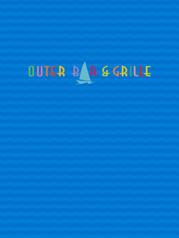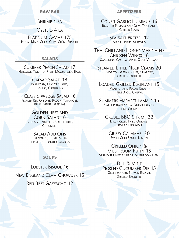#### RAW BAR

SHRIMP 4 EA

OYSTERS 4 FA

Platinum Caviar 175 House Made Chips, Chive Crème Fraîche

#### SALADS

Summer Peach Salad 17 Heirloom Tomato, Fresh Mozzarella, Basil

> Caesar Salad 18 Parmesan, Chopped Eggs, Capers, Croutons

Classic Wedge Salad 16 PICKLED RED ONIONS, BACON, TOMATOES, Blue Cheese Dressing

Golden Beet and CORN SALAD 16 CITRUS VINAIGRETTE, BIBB LETTUCE, **CUCUMBER** 

# Salad Add-Ons

Chicken 10 Salmon 14 SHRIMP 16 LOBSTER SALAD 28

## **SOUPS**

LOBSTER BISQUE 16

New England Clam Chowder 15 Red Beet Gazpacho 12

#### APPETIZERS

Confit Garlic Hummus 16 Roasted Tomato and Olive Tapenade, Grilled Naan

> Sea Salt Pretzel 12 Maple Honey Mustard

Thai Chili and Honey Marinated Chicken Wings 18 Scallions, Cashew, Apple Cider Vinegar

Steamed Little Neck Clams 20 Chorizo, Green Chilies, Cilantro, **GRILLED BAGUETTE** 

Loaded Grilled Eggplant 15 WALNUT AND PECAN CRUST. HERB AIOLI, CHERVIL

Summers Harvest Tamale 15 Sweet Potato Salsa, Queso Fresco, Lime Crema

Creole BBQ Shrimp 22 Dill Pickled Fried Onions, Deviled Egg Aioli

Crispy Calamari 20 Sweet Chili Sauce, Lemon

Grilled Onion & Mushroom Putin 16 Vermont Cheese Curds, Mushroom Demi

Dill & Mint Pickled Cucumber Dip 15 Greek yogurt, Shaved Radish, **GRILLED BAGUETTE**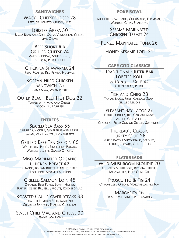#### **SANDWICHES**

WAGYU CHEESEBURGER 28 LETTUCE, TOMATO, ONION, FRIES

Lobster Arepa 30 Black Bean and Corn Salsa, Venezuelan Cheese, Lime Crema

## Beef Short Rib Grilled Cheese 24

Aged Cheddar, Sourdough, Boursin, Pickle, Fries

Chickpea Shawarma 24 Feta, Roasted Red Pepper, Hummus

Korean Fried Chicken SANDWICH 25 Jicama Slaw, Asian Pickles

Outer Beach Beef Hot Dog 22 Topped with Mac and Cheese, **BACON BLUE CHEESE** 

# ENTRÉES

Seared Sea Bass 55 Curried Chickpea, Grapefruit and Fennel Salad, Vanilla-Citrus Vinaigrette

Grilled Beef Tenderloin 65 Watercress Purée, Fingerling Potato, WORCESTERSHIRE GLAZED ONIONS

#### Miso Marinated Organic Chicken Breast 42 Orange, Brown Butter, Carrot Purée, Frisée, Nori Sesame Emulsion

Grilled Salmon Loin 45 Charred Beet Purée, Burnt Honey, Butter Tossed Brussel Sprouts, Rocket Salad

Roasted Cauliflower Steaks 38 Toasted Pumpkin Seed, Jalapeño Creamed Spinach, Toasted Chickpeas

#### Sweet Chili Mac and Cheese 30 Sesame, Scallions

#### POKE BOWL

Sushi Rice, Avocado, Cucumbers, Edamame, Wonton Chips, Scallions

> Sesame Marinated Chicken Breast 24

Ponzu Marinated Tuna 26

Honey Sesame Tofu 21

## CAPE COD CLASSICS

Traditional Outer Bar Lobster Roll  $\frac{1}{2}$  LB 65  $\frac{1}{4}$  LB 40 Green Salad, Pickle

FISH AND CHIPS 28 Tartar Sauce, Fries, Cabbage Slaw, Grilled Lemon

## Pleasant Bay Tacos 27

Flour Tortilla, Red Cabbage Slaw, Ancho Chili Aioli Choice of Fried Cod or Grilled Swordfish

#### Thoreau's Classic **TURKEY CLUB 26**

Maple Bacon Mayonnaise, Sprouts, LETTUCE, TOMATO, ONION, FRIES

## FLATBREADS

Wild Mushroom Blondie 20 Chopped Mushroom, Ricotta Cheese, Mozzarella, Herb Olive Oil

PROSCUITTO & FIG 24 Caramelized Onion, Mozzarella, Fig Jam

> MARGARITA 16 Fresh Basil, Vine Ripe Tomatoes

A 20% SERVICE CHARGE HAS BEEN ADDED TO YOUR CHECK. \*Consuming raw or undercooked meats, seafood or eggs may increase your risk of food borne illness. Please inform your server if anyone in your party has a food allergy.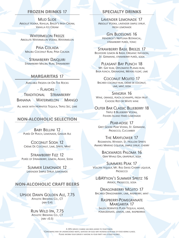#### FROZEN DRINKS 17

**MUD SLIDE** Absolut Vodka, Kahlua, Bailey's Irish Cream, Vanilla Ice Cream

WATERMELON FREEZE Absolute Watermelon Vodka, Watermelon

Piña Colada Malibu Coconut Rum, Piña Colada

STRAWBERRY DAIQUIRI Strawberry Malibu Rum, Strawberry

### MARGARITAS 17

Available Frozen or On The Rocks

– Flavors – Traditional Strawberry Banana Watermelon Mango

ALL MADE WITH HORNITOS TEQUILA, TRIPLE SEC, LIME

## NON-ALCOHOLIC SELECTION

BABY BELLINI 12 Purée Of Peach, Lemonade, Ginger Ale

Coconut Soda 12 Crème De Coconut, Lime, Sprite, Mint

Strawberry Fizz 12 Purée of Strawberry, Lemon, Agave, Soda

> Summer Lemonade 12 Lavender Simple Syrup, Lemonade

## NON-ALCOHOLIC CRAFT BEERS

Upside Dawn Golden Ale, 7.75 Athletic Brewing Co., CT (abv 0.4)

# Run Wild Ipa, 7.75

Athletic Brewing Co., CT  $(ABV < 0.5)$ 

#### SPECIALTY DRINKS

Lavender Lemonade 17 Absolut Vodka, lavender simple syrup, fresh lemonade

Gin Blossoms 16 Hendrick's Neptunia Botanical, strawberry purée, tonic

STRAWBERRY BASIL BREEZE 17 Belvedere Lemon & Basiil Organic Infusion, St. Germaine, strawberry purée, soda

PLEASANT BAY PUNCH 18 Mt. Gay rum, Diplomatio Planas rum, Baja punch, Grenadine, Meyers float, lime

Coconut Mojito 17 Bacardi coconut rum, créme de coconut, lime, mint, soda

SANGRIA 16 WINE, ORANGE, PEACH SCHNAPPS, FRESH FRUIT Choose Red or White wine

## Outer Bar Classic Blueberry 18

Triple 8 Blueberry Vodka, Fishers Island Hard Lemonade

PFAR-ADISF 17

Grey Goose Pear Vodka, St. Germaine, Prosecco, Cucumber

#### The Mayflower 17

Regimental Whiskey, St. Hollow Spirits Amaro Marino Liqueur, simple syrup, cherry

> Backwards Paloma 16 Gray Whale Gin, grapefruit, soda

Summers Peak 17 VOLCÁN TEQUILA, MT. RIGI SWISS CHERRY LIQUEUR, Prosecco

LiBAYtion's Summer Spritz 16 Aperol, Prosecco, soda

Dragonberry Mojito 17 BACARDI DRAGONBERRY, LIME, RASPBERRY, MINT

#### Raspberry-Pomegranate Margarita 17

SAUZA HORNITOS PLATA TEQUILA, AGAVE, pomegranate, lemon, lime, raspberries

A 20% service charge has been added to your check. \*Consuming raw or undercooked meats, seafood or eggs may increase your risk of food borne illness. Please inform your server if anyone in your party has a food allergy.